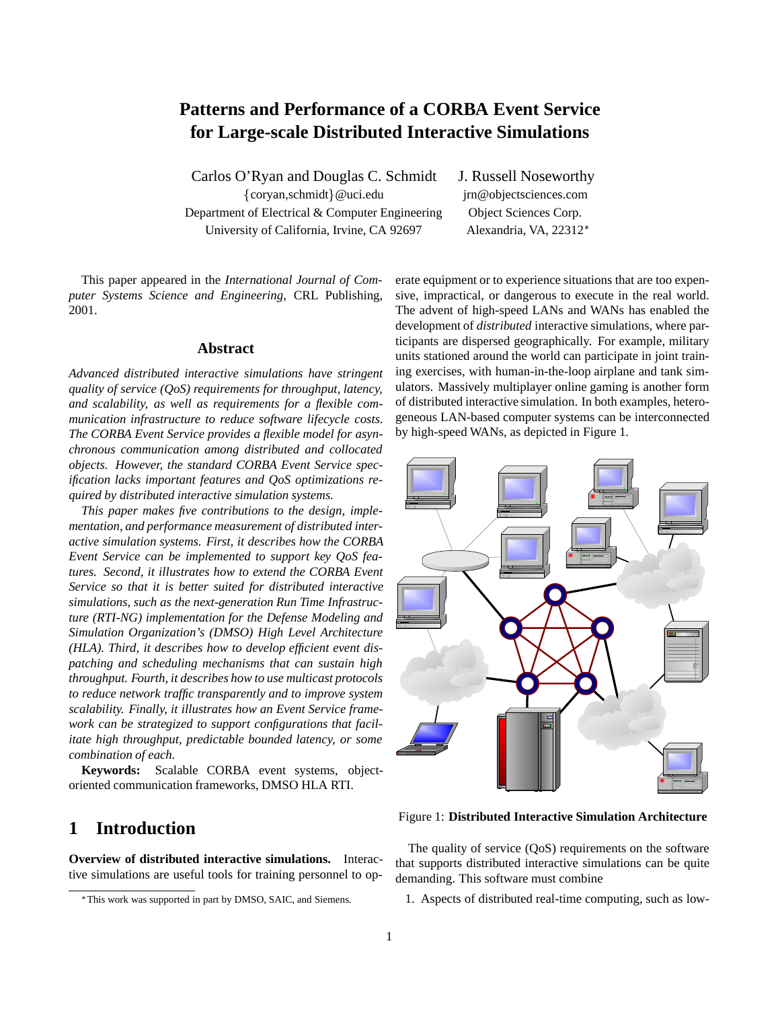# **Patterns and Performance of a CORBA Event Service for Large-scale Distributed Interactive Simulations**

Carlos O'Ryan and Douglas C. Schmidt J. Russell Noseworthy {coryan,schmidt}@uci.edu jrn@objectsciences.com Department of Electrical & Computer Engineering Object Sciences Corp. University of California, Irvine, CA 92697 Alexandria, VA, 22312\*

This paper appeared in the *International Journal of Computer Systems Science and Engineering*, CRL Publishing, 2001.

#### **Abstract**

*Advanced distributed interactive simulations have stringent quality of service (QoS) requirements for throughput, latency, and scalability, as well as requirements for a flexible communication infrastructure to reduce software lifecycle costs. The CORBA Event Service provides a flexible model for asynchronous communication among distributed and collocated objects. However, the standard CORBA Event Service specification lacks important features and QoS optimizations required by distributed interactive simulation systems.*

*This paper makes five contributions to the design, implementation, and performance measurement of distributed interactive simulation systems. First, it describes how the CORBA Event Service can be implemented to support key QoS features. Second, it illustrates how to extend the CORBA Event Service so that it is better suited for distributed interactive simulations, such as the next-generation Run Time Infrastructure (RTI-NG) implementation for the Defense Modeling and Simulation Organization's (DMSO) High Level Architecture (HLA). Third, it describes how to develop efficient event dispatching and scheduling mechanisms that can sustain high throughput. Fourth, it describes how to use multicast protocols to reduce network traffic transparently and to improve system scalability. Finally, it illustrates how an Event Service framework can be strategized to support configurations that facilitate high throughput, predictable bounded latency, or some combination of each.*

**Keywords:** Scalable CORBA event systems, objectoriented communication frameworks, DMSO HLA RTI.

## **1 Introduction**

**Overview of distributed interactive simulations.** Interactive simulations are useful tools for training personnel to operate equipment or to experience situations that are too expensive, impractical, or dangerous to execute in the real world. The advent of high-speed LANs and WANs has enabled the development of *distributed* interactive simulations, where participants are dispersed geographically. For example, military units stationed around the world can participate in joint training exercises, with human-in-the-loop airplane and tank simulators. Massively multiplayer online gaming is another form of distributed interactive simulation. In both examples, heterogeneous LAN-based computer systems can be interconnected by high-speed WANs, as depicted in Figure 1.



Figure 1: **Distributed Interactive Simulation Architecture**

The quality of service (QoS) requirements on the software that supports distributed interactive simulations can be quite demanding. This software must combine

1. Aspects of distributed real-time computing, such as low-

This work was supported in part by DMSO, SAIC, and Siemens.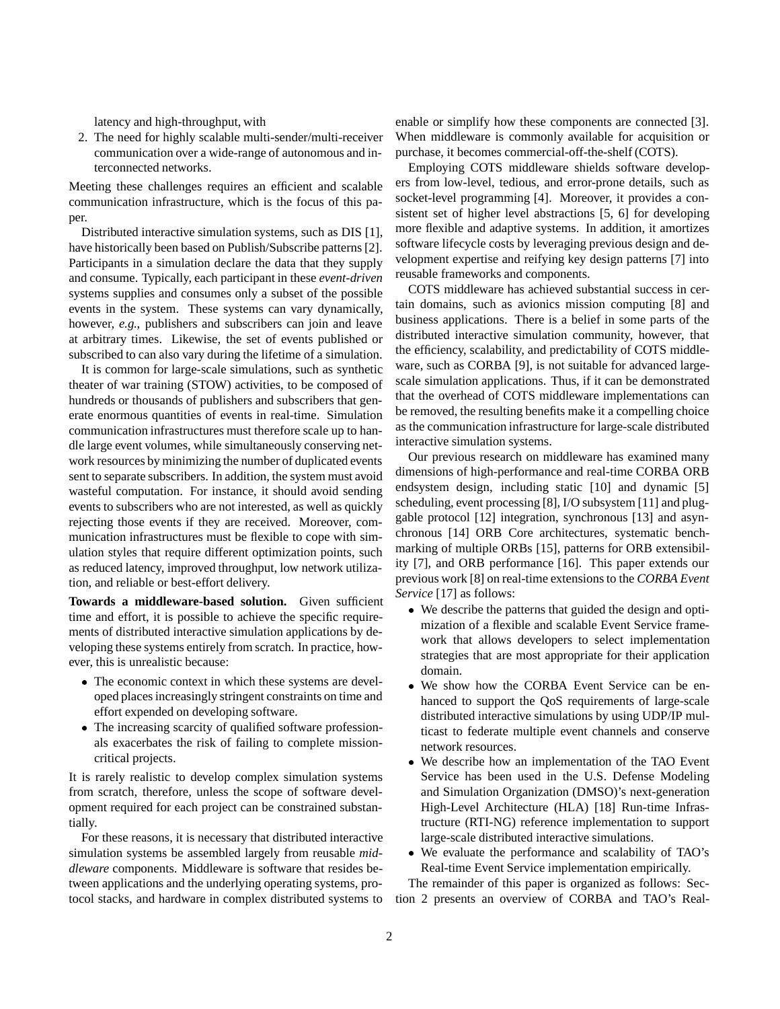latency and high-throughput, with

2. The need for highly scalable multi-sender/multi-receiver communication over a wide-range of autonomous and interconnected networks.

Meeting these challenges requires an efficient and scalable communication infrastructure, which is the focus of this paper.

Distributed interactive simulation systems, such as DIS [1], have historically been based on Publish/Subscribe patterns [2]. Participants in a simulation declare the data that they supply and consume. Typically, each participant in these *event-driven* systems supplies and consumes only a subset of the possible events in the system. These systems can vary dynamically, however, *e.g.*, publishers and subscribers can join and leave at arbitrary times. Likewise, the set of events published or subscribed to can also vary during the lifetime of a simulation.

It is common for large-scale simulations, such as synthetic theater of war training (STOW) activities, to be composed of hundreds or thousands of publishers and subscribers that generate enormous quantities of events in real-time. Simulation communication infrastructures must therefore scale up to handle large event volumes, while simultaneously conserving network resources by minimizing the number of duplicated events sent to separate subscribers. In addition, the system must avoid wasteful computation. For instance, it should avoid sending events to subscribers who are not interested, as well as quickly rejecting those events if they are received. Moreover, communication infrastructures must be flexible to cope with simulation styles that require different optimization points, such as reduced latency, improved throughput, low network utilization, and reliable or best-effort delivery.

**Towards a middleware-based solution.** Given sufficient time and effort, it is possible to achieve the specific requirements of distributed interactive simulation applications by developing these systems entirely from scratch. In practice, however, this is unrealistic because:

- The economic context in which these systems are developed places increasingly stringent constraints on time and effort expended on developing software.
- The increasing scarcity of qualified software professionals exacerbates the risk of failing to complete missioncritical projects.

It is rarely realistic to develop complex simulation systems from scratch, therefore, unless the scope of software development required for each project can be constrained substantially.

For these reasons, it is necessary that distributed interactive simulation systems be assembled largely from reusable *middleware* components. Middleware is software that resides between applications and the underlying operating systems, protocol stacks, and hardware in complex distributed systems to enable or simplify how these components are connected [3]. When middleware is commonly available for acquisition or purchase, it becomes commercial-off-the-shelf (COTS).

Employing COTS middleware shields software developers from low-level, tedious, and error-prone details, such as socket-level programming [4]. Moreover, it provides a consistent set of higher level abstractions [5, 6] for developing more flexible and adaptive systems. In addition, it amortizes software lifecycle costs by leveraging previous design and development expertise and reifying key design patterns [7] into reusable frameworks and components.

COTS middleware has achieved substantial success in certain domains, such as avionics mission computing [8] and business applications. There is a belief in some parts of the distributed interactive simulation community, however, that the efficiency, scalability, and predictability of COTS middleware, such as CORBA [9], is not suitable for advanced largescale simulation applications. Thus, if it can be demonstrated that the overhead of COTS middleware implementations can be removed, the resulting benefits make it a compelling choice as the communication infrastructure for large-scale distributed interactive simulation systems.

Our previous research on middleware has examined many dimensions of high-performance and real-time CORBA ORB endsystem design, including static [10] and dynamic [5] scheduling, event processing [8], I/O subsystem [11] and pluggable protocol [12] integration, synchronous [13] and asynchronous [14] ORB Core architectures, systematic benchmarking of multiple ORBs [15], patterns for ORB extensibility [7], and ORB performance [16]. This paper extends our previous work [8] on real-time extensions to the *CORBA Event Service* [17] as follows:

- We describe the patterns that guided the design and optimization of a flexible and scalable Event Service framework that allows developers to select implementation strategies that are most appropriate for their application domain.
- We show how the CORBA Event Service can be enhanced to support the QoS requirements of large-scale distributed interactive simulations by using UDP/IP multicast to federate multiple event channels and conserve network resources.
- We describe how an implementation of the TAO Event Service has been used in the U.S. Defense Modeling and Simulation Organization (DMSO)'s next-generation High-Level Architecture (HLA) [18] Run-time Infrastructure (RTI-NG) reference implementation to support large-scale distributed interactive simulations.
- We evaluate the performance and scalability of TAO's Real-time Event Service implementation empirically.

The remainder of this paper is organized as follows: Section 2 presents an overview of CORBA and TAO's Real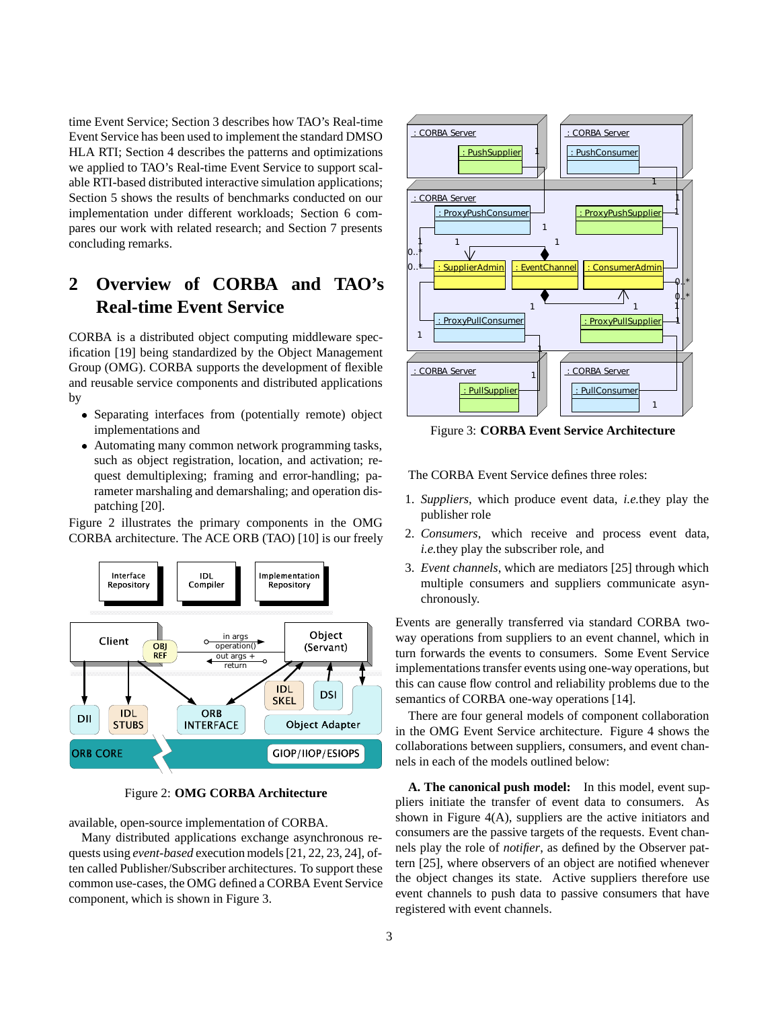time Event Service; Section 3 describes how TAO's Real-time Event Service has been used to implement the standard DMSO HLA RTI; Section 4 describes the patterns and optimizations we applied to TAO's Real-time Event Service to support scalable RTI-based distributed interactive simulation applications; Section 5 shows the results of benchmarks conducted on our implementation under different workloads; Section 6 compares our work with related research; and Section 7 presents concluding remarks.

# **2 Overview of CORBA and TAO's Real-time Event Service**

CORBA is a distributed object computing middleware specification [19] being standardized by the Object Management Group (OMG). CORBA supports the development of flexible and reusable service components and distributed applications by

- Separating interfaces from (potentially remote) object implementations and
- Automating many common network programming tasks, such as object registration, location, and activation; request demultiplexing; framing and error-handling; parameter marshaling and demarshaling; and operation dispatching [20].

Figure 2 illustrates the primary components in the OMG CORBA architecture. The ACE ORB (TAO) [10] is our freely



Figure 2: **OMG CORBA Architecture**

available, open-source implementation of CORBA.

Many distributed applications exchange asynchronous requests using *event-based* execution models [21, 22, 23, 24], often called Publisher/Subscriber architectures. To support these common use-cases, the OMG defined a CORBA Event Service component, which is shown in Figure 3.



Figure 3: **CORBA Event Service Architecture**

The CORBA Event Service defines three roles:

- 1. *Suppliers*, which produce event data, *i.e.*they play the publisher role
- 2. *Consumers*, which receive and process event data, *i.e.*they play the subscriber role, and
- 3. *Event channels*, which are mediators [25] through which multiple consumers and suppliers communicate asynchronously.

Events are generally transferred via standard CORBA twoway operations from suppliers to an event channel, which in turn forwards the events to consumers. Some Event Service implementations transfer events using one-way operations, but this can cause flow control and reliability problems due to the semantics of CORBA one-way operations [14].

There are four general models of component collaboration in the OMG Event Service architecture. Figure 4 shows the collaborations between suppliers, consumers, and event channels in each of the models outlined below:

**A. The canonical push model:** In this model, event suppliers initiate the transfer of event data to consumers. As shown in Figure 4(A), suppliers are the active initiators and consumers are the passive targets of the requests. Event channels play the role of *notifier*, as defined by the Observer pattern [25], where observers of an object are notified whenever the object changes its state. Active suppliers therefore use event channels to push data to passive consumers that have registered with event channels.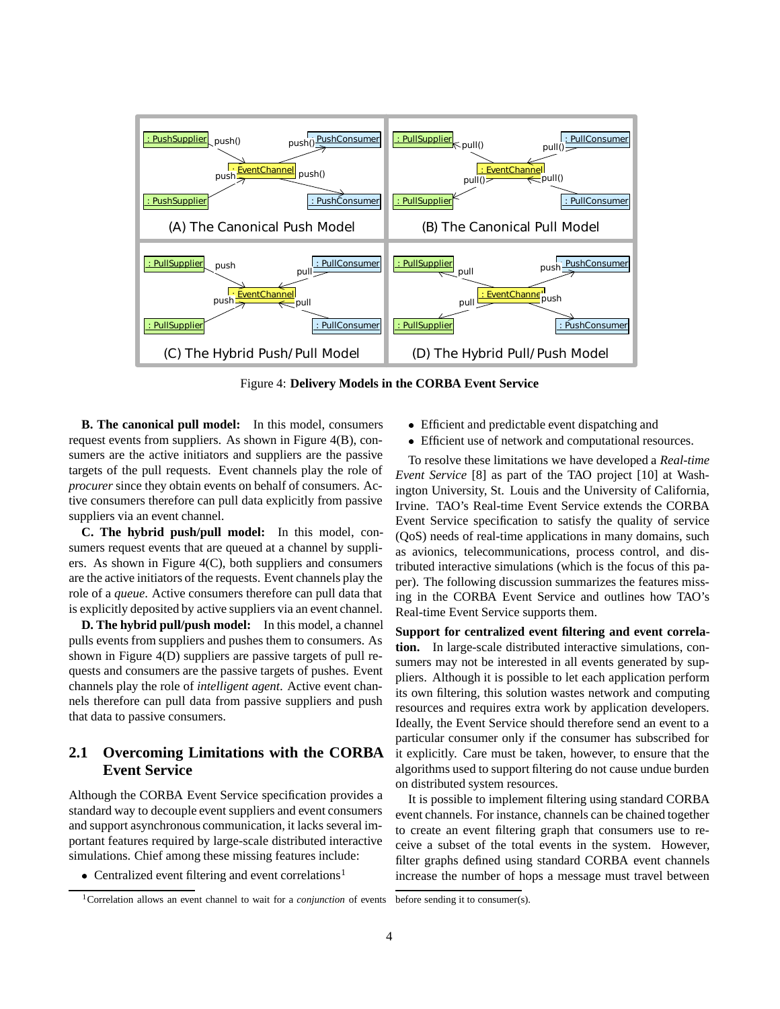

Figure 4: **Delivery Models in the CORBA Event Service**

**B. The canonical pull model:** In this model, consumers request events from suppliers. As shown in Figure 4(B), consumers are the active initiators and suppliers are the passive targets of the pull requests. Event channels play the role of *procurer* since they obtain events on behalf of consumers. Active consumers therefore can pull data explicitly from passive suppliers via an event channel.

**C. The hybrid push/pull model:** In this model, consumers request events that are queued at a channel by suppliers. As shown in Figure 4(C), both suppliers and consumers are the active initiators of the requests. Event channels play the role of a *queue*. Active consumers therefore can pull data that is explicitly deposited by active suppliers via an event channel.

**D. The hybrid pull/push model:** In this model, a channel pulls events from suppliers and pushes them to consumers. As shown in Figure 4(D) suppliers are passive targets of pull requests and consumers are the passive targets of pushes. Event channels play the role of *intelligent agent*. Active event channels therefore can pull data from passive suppliers and push that data to passive consumers.

#### **2.1 Overcoming Limitations with the CORBA Event Service**

Although the CORBA Event Service specification provides a standard way to decouple event suppliers and event consumers and support asynchronous communication, it lacks several important features required by large-scale distributed interactive simulations. Chief among these missing features include:

 $\bullet$  Centralized event filtering and event correlations<sup>1</sup>

- Efficient and predictable event dispatching and
- Efficient use of network and computational resources.

To resolve these limitations we have developed a *Real-time Event Service* [8] as part of the TAO project [10] at Washington University, St. Louis and the University of California, Irvine. TAO's Real-time Event Service extends the CORBA Event Service specification to satisfy the quality of service (QoS) needs of real-time applications in many domains, such as avionics, telecommunications, process control, and distributed interactive simulations (which is the focus of this paper). The following discussion summarizes the features missing in the CORBA Event Service and outlines how TAO's Real-time Event Service supports them.

**Support for centralized event filtering and event correlation.** In large-scale distributed interactive simulations, consumers may not be interested in all events generated by suppliers. Although it is possible to let each application perform its own filtering, this solution wastes network and computing resources and requires extra work by application developers. Ideally, the Event Service should therefore send an event to a particular consumer only if the consumer has subscribed for it explicitly. Care must be taken, however, to ensure that the algorithms used to support filtering do not cause undue burden on distributed system resources.

It is possible to implement filtering using standard CORBA event channels. For instance, channels can be chained together to create an event filtering graph that consumers use to receive a subset of the total events in the system. However, filter graphs defined using standard CORBA event channels increase the number of hops a message must travel between

<sup>1</sup>Correlation allows an event channel to wait for a *conjunction* of events before sending it to consumer(s).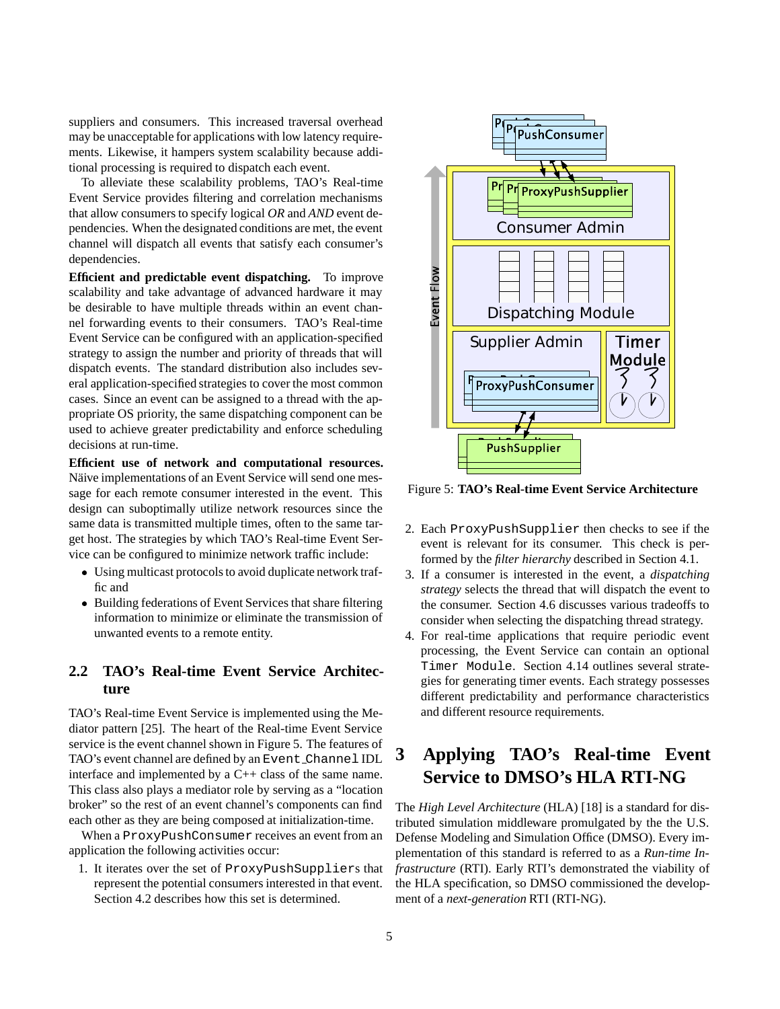suppliers and consumers. This increased traversal overhead may be unacceptable for applications with low latency requirements. Likewise, it hampers system scalability because additional processing is required to dispatch each event.

To alleviate these scalability problems, TAO's Real-time Event Service provides filtering and correlation mechanisms that allow consumers to specify logical *OR* and *AND* event dependencies. When the designated conditions are met, the event channel will dispatch all events that satisfy each consumer's dependencies.

**Efficient and predictable event dispatching.** To improve scalability and take advantage of advanced hardware it may be desirable to have multiple threads within an event channel forwarding events to their consumers. TAO's Real-time Event Service can be configured with an application-specified strategy to assign the number and priority of threads that will dispatch events. The standard distribution also includes several application-specified strategies to cover the most common cases. Since an event can be assigned to a thread with the appropriate OS priority, the same dispatching component can be used to achieve greater predictability and enforce scheduling decisions at run-time.

**Efficient use of network and computational resources.** Näive implementations of an Event Service will send one message for each remote consumer interested in the event. This design can suboptimally utilize network resources since the same data is transmitted multiple times, often to the same target host. The strategies by which TAO's Real-time Event Service can be configured to minimize network traffic include:

- Using multicast protocols to avoid duplicate network traffic and
- Building federations of Event Services that share filtering information to minimize or eliminate the transmission of unwanted events to a remote entity.

#### **2.2 TAO's Real-time Event Service Architecture**

TAO's Real-time Event Service is implemented using the Mediator pattern [25]. The heart of the Real-time Event Service service is the event channel shown in Figure 5. The features of TAO's event channel are defined by an Event Channel IDL interface and implemented by a C++ class of the same name. This class also plays a mediator role by serving as a "location broker" so the rest of an event channel's components can find each other as they are being composed at initialization-time.

When a ProxyPushConsumer receives an event from an application the following activities occur:

1. It iterates over the set of ProxyPushSuppliers that represent the potential consumers interested in that event. Section 4.2 describes how this set is determined.



Figure 5: **TAO's Real-time Event Service Architecture**

- 2. Each ProxyPushSupplier then checks to see if the event is relevant for its consumer. This check is performed by the *filter hierarchy* described in Section 4.1.
- 3. If a consumer is interested in the event, a *dispatching strategy* selects the thread that will dispatch the event to the consumer. Section 4.6 discusses various tradeoffs to consider when selecting the dispatching thread strategy.
- 4. For real-time applications that require periodic event processing, the Event Service can contain an optional Timer Module. Section 4.14 outlines several strategies for generating timer events. Each strategy possesses different predictability and performance characteristics and different resource requirements.

# **3 Applying TAO's Real-time Event Service to DMSO's HLA RTI-NG**

The *High Level Architecture* (HLA) [18] is a standard for distributed simulation middleware promulgated by the the U.S. Defense Modeling and Simulation Office (DMSO). Every implementation of this standard is referred to as a *Run-time Infrastructure* (RTI). Early RTI's demonstrated the viability of the HLA specification, so DMSO commissioned the development of a *next-generation* RTI (RTI-NG).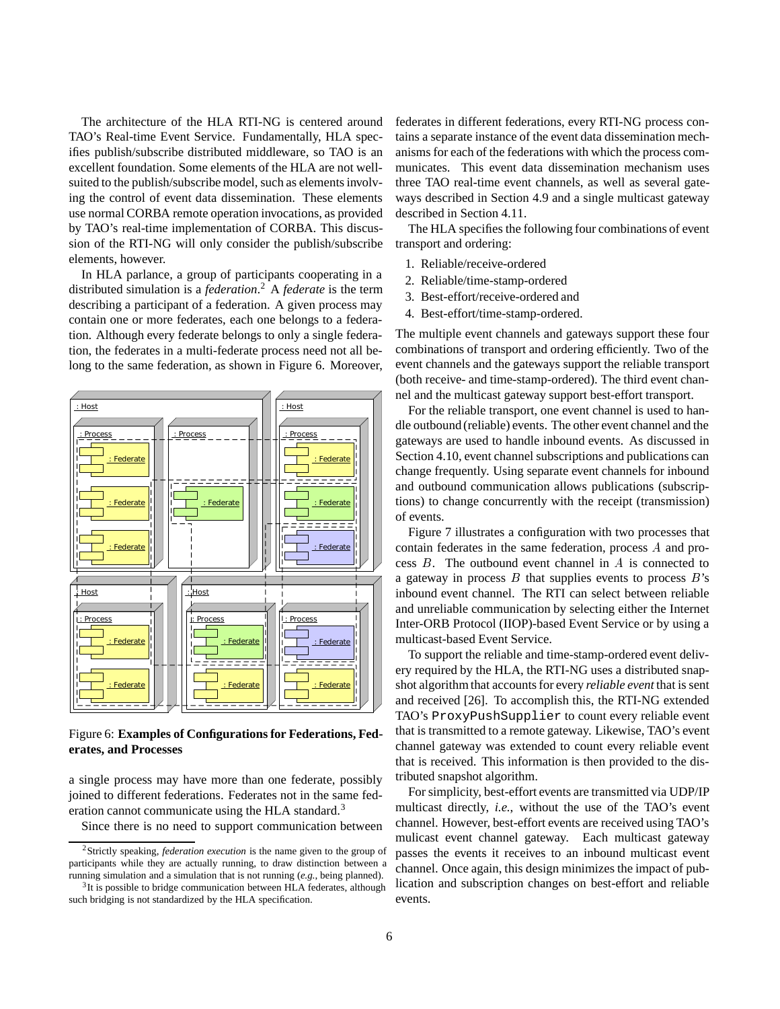The architecture of the HLA RTI-NG is centered around TAO's Real-time Event Service. Fundamentally, HLA specifies publish/subscribe distributed middleware, so TAO is an excellent foundation. Some elements of the HLA are not wellsuited to the publish/subscribe model, such as elements involving the control of event data dissemination. These elements use normal CORBA remote operation invocations, as provided by TAO's real-time implementation of CORBA. This discussion of the RTI-NG will only consider the publish/subscribe elements, however.

In HLA parlance, a group of participants cooperating in a distributed simulation is a *federation*. <sup>2</sup> A *federate* is the term describing a participant of a federation. A given process may contain one or more federates, each one belongs to a federation. Although every federate belongs to only a single federation, the federates in a multi-federate process need not all belong to the same federation, as shown in Figure 6. Moreover,



Figure 6: **Examples of Configurations for Federations, Federates, and Processes**

a single process may have more than one federate, possibly joined to different federations. Federates not in the same federation cannot communicate using the HLA standard.<sup>3</sup>

Since there is no need to support communication between

federates in different federations, every RTI-NG process contains a separate instance of the event data dissemination mechanisms for each of the federations with which the process communicates. This event data dissemination mechanism uses three TAO real-time event channels, as well as several gateways described in Section 4.9 and a single multicast gateway described in Section 4.11.

The HLA specifies the following four combinations of event transport and ordering:

- 1. Reliable/receive-ordered
- 2. Reliable/time-stamp-ordered
- 3. Best-effort/receive-ordered and
- 4. Best-effort/time-stamp-ordered.

The multiple event channels and gateways support these four combinations of transport and ordering efficiently. Two of the event channels and the gateways support the reliable transport (both receive- and time-stamp-ordered). The third event channel and the multicast gateway support best-effort transport.

For the reliable transport, one event channel is used to handle outbound (reliable) events. The other event channel and the gateways are used to handle inbound events. As discussed in Section 4.10, event channel subscriptions and publications can change frequently. Using separate event channels for inbound and outbound communication allows publications (subscriptions) to change concurrently with the receipt (transmission) of events.

Figure 7 illustrates a configuration with two processes that contain federates in the same federation, process <sup>A</sup> and process B. The outbound event channel in A is connected to a gateway in process  $B$  that supplies events to process  $B$ 's inbound event channel. The RTI can select between reliable and unreliable communication by selecting either the Internet Inter-ORB Protocol (IIOP)-based Event Service or by using a multicast-based Event Service.

To support the reliable and time-stamp-ordered event delivery required by the HLA, the RTI-NG uses a distributed snapshot algorithm that accounts for every *reliable event* that is sent and received [26]. To accomplish this, the RTI-NG extended TAO's ProxyPushSupplier to count every reliable event that is transmitted to a remote gateway. Likewise, TAO's event channel gateway was extended to count every reliable event that is received. This information is then provided to the distributed snapshot algorithm.

For simplicity, best-effort events are transmitted via UDP/IP multicast directly, *i.e.*, without the use of the TAO's event channel. However, best-effort events are received using TAO's mulicast event channel gateway. Each multicast gateway passes the events it receives to an inbound multicast event channel. Once again, this design minimizes the impact of publication and subscription changes on best-effort and reliable events.

<sup>2</sup>Strictly speaking, *federation execution* is the name given to the group of participants while they are actually running, to draw distinction between a running simulation and a simulation that is not running (*e.g.*, being planned).

<sup>&</sup>lt;sup>3</sup>It is possible to bridge communication between HLA federates, although such bridging is not standardized by the HLA specification.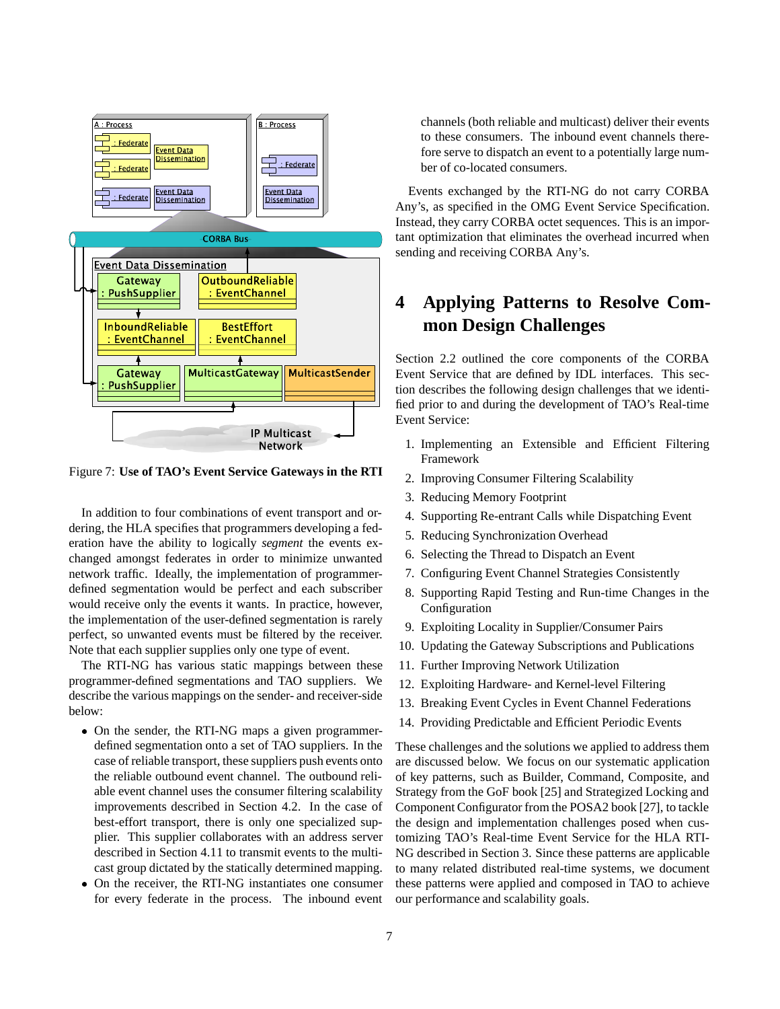

Figure 7: **Use of TAO's Event Service Gateways in the RTI**

In addition to four combinations of event transport and ordering, the HLA specifies that programmers developing a federation have the ability to logically *segment* the events exchanged amongst federates in order to minimize unwanted network traffic. Ideally, the implementation of programmerdefined segmentation would be perfect and each subscriber would receive only the events it wants. In practice, however, the implementation of the user-defined segmentation is rarely perfect, so unwanted events must be filtered by the receiver. Note that each supplier supplies only one type of event.

The RTI-NG has various static mappings between these programmer-defined segmentations and TAO suppliers. We describe the various mappings on the sender- and receiver-side below:

- On the sender, the RTI-NG maps a given programmerdefined segmentation onto a set of TAO suppliers. In the case of reliable transport, these suppliers push events onto the reliable outbound event channel. The outbound reliable event channel uses the consumer filtering scalability improvements described in Section 4.2. In the case of best-effort transport, there is only one specialized supplier. This supplier collaborates with an address server described in Section 4.11 to transmit events to the multicast group dictated by the statically determined mapping.
- On the receiver, the RTI-NG instantiates one consumer for every federate in the process. The inbound event

channels (both reliable and multicast) deliver their events to these consumers. The inbound event channels therefore serve to dispatch an event to a potentially large number of co-located consumers.

Events exchanged by the RTI-NG do not carry CORBA Any's, as specified in the OMG Event Service Specification. Instead, they carry CORBA octet sequences. This is an important optimization that eliminates the overhead incurred when sending and receiving CORBA Any's.

# **4 Applying Patterns to Resolve Common Design Challenges**

Section 2.2 outlined the core components of the CORBA Event Service that are defined by IDL interfaces. This section describes the following design challenges that we identified prior to and during the development of TAO's Real-time Event Service:

- 1. Implementing an Extensible and Efficient Filtering Framework
- 2. Improving Consumer Filtering Scalability
- 3. Reducing Memory Footprint
- 4. Supporting Re-entrant Calls while Dispatching Event
- 5. Reducing Synchronization Overhead
- 6. Selecting the Thread to Dispatch an Event
- 7. Configuring Event Channel Strategies Consistently
- 8. Supporting Rapid Testing and Run-time Changes in the Configuration
- 9. Exploiting Locality in Supplier/Consumer Pairs
- 10. Updating the Gateway Subscriptions and Publications
- 11. Further Improving Network Utilization
- 12. Exploiting Hardware- and Kernel-level Filtering
- 13. Breaking Event Cycles in Event Channel Federations
- 14. Providing Predictable and Efficient Periodic Events

These challenges and the solutions we applied to address them are discussed below. We focus on our systematic application of key patterns, such as Builder, Command, Composite, and Strategy from the GoF book [25] and Strategized Locking and Component Configurator from the POSA2 book [27], to tackle the design and implementation challenges posed when customizing TAO's Real-time Event Service for the HLA RTI-NG described in Section 3. Since these patterns are applicable to many related distributed real-time systems, we document these patterns were applied and composed in TAO to achieve our performance and scalability goals.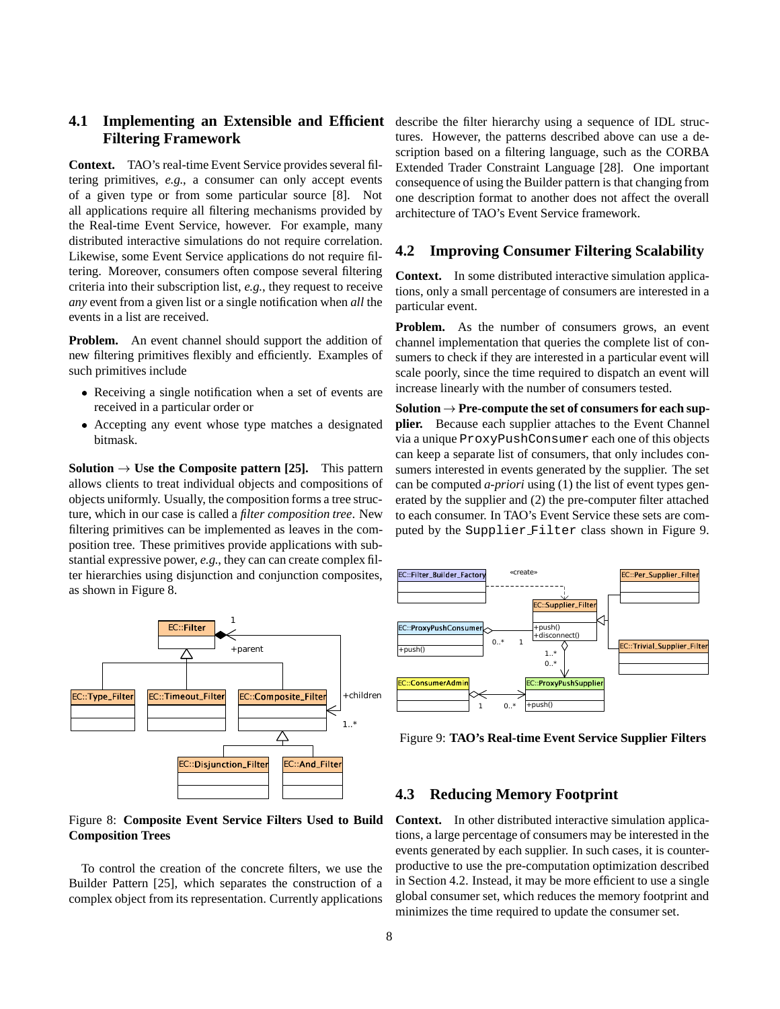# **Filtering Framework**

**Context.** TAO's real-time Event Service provides several filtering primitives, *e.g.*, a consumer can only accept events of a given type or from some particular source [8]. Not all applications require all filtering mechanisms provided by the Real-time Event Service, however. For example, many distributed interactive simulations do not require correlation. Likewise, some Event Service applications do not require filtering. Moreover, consumers often compose several filtering criteria into their subscription list, *e.g.*, they request to receive *any* event from a given list or a single notification when *all* the events in a list are received.

**Problem.** An event channel should support the addition of new filtering primitives flexibly and efficiently. Examples of such primitives include

- Receiving a single notification when a set of events are received in a particular order or
- Accepting any event whose type matches a designated bitmask.

**Solution**  $\rightarrow$  Use the Composite pattern [25]. This pattern allows clients to treat individual objects and compositions of objects uniformly. Usually, the composition forms a tree structure, which in our case is called a *filter composition tree*. New filtering primitives can be implemented as leaves in the composition tree. These primitives provide applications with substantial expressive power, *e.g.*, they can can create complex filter hierarchies using disjunction and conjunction composites, as shown in Figure 8.



#### Figure 8: **Composite Event Service Filters Used to Build Composition Trees**

To control the creation of the concrete filters, we use the Builder Pattern [25], which separates the construction of a complex object from its representation. Currently applications

4.1 Implementing an Extensible and Efficient describe the filter hierarchy using a sequence of IDL structures. However, the patterns described above can use a description based on a filtering language, such as the CORBA Extended Trader Constraint Language [28]. One important consequence of using the Builder pattern is that changing from one description format to another does not affect the overall architecture of TAO's Event Service framework.

#### **4.2 Improving Consumer Filtering Scalability**

**Context.** In some distributed interactive simulation applications, only a small percentage of consumers are interested in a particular event.

**Problem.** As the number of consumers grows, an event channel implementation that queries the complete list of consumers to check if they are interested in a particular event will scale poorly, since the time required to dispatch an event will increase linearly with the number of consumers tested.

 $Solution \rightarrow Pre-complete the set of consumers for each sup$ **plier.** Because each supplier attaches to the Event Channel via a unique ProxyPushConsumer each one of this objects can keep a separate list of consumers, that only includes consumers interested in events generated by the supplier. The set can be computed *a-priori* using (1) the list of event types generated by the supplier and (2) the pre-computer filter attached to each consumer. In TAO's Event Service these sets are computed by the Supplier Filter class shown in Figure 9.



Figure 9: **TAO's Real-time Event Service Supplier Filters**

#### **4.3 Reducing Memory Footprint**

**Context.** In other distributed interactive simulation applications, a large percentage of consumers may be interested in the events generated by each supplier. In such cases, it is counterproductive to use the pre-computation optimization described in Section 4.2. Instead, it may be more efficient to use a single global consumer set, which reduces the memory footprint and minimizes the time required to update the consumer set.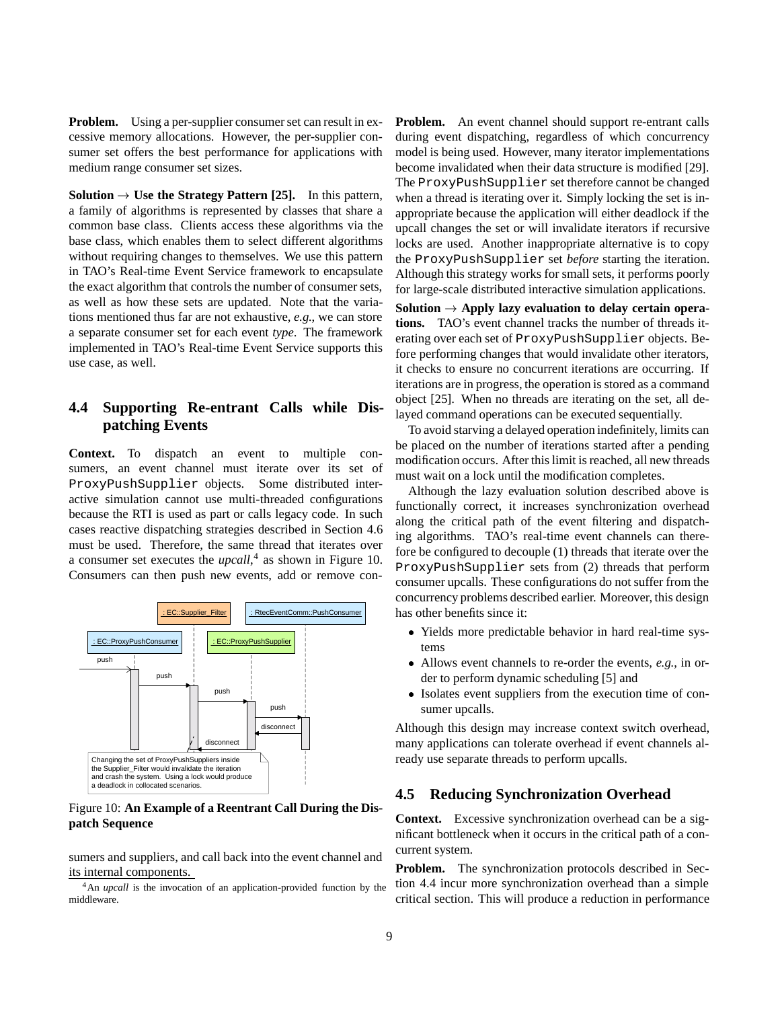**Problem.** Using a per-supplier consumer set can result in excessive memory allocations. However, the per-supplier consumer set offers the best performance for applications with medium range consumer set sizes.

**Solution**  $\rightarrow$  Use the Strategy Pattern [25]. In this pattern, a family of algorithms is represented by classes that share a common base class. Clients access these algorithms via the base class, which enables them to select different algorithms without requiring changes to themselves. We use this pattern in TAO's Real-time Event Service framework to encapsulate the exact algorithm that controls the number of consumer sets, as well as how these sets are updated. Note that the variations mentioned thus far are not exhaustive, *e.g.*, we can store a separate consumer set for each event *type*. The framework implemented in TAO's Real-time Event Service supports this use case, as well.

#### **4.4 Supporting Re-entrant Calls while Dispatching Events**

**Context.** To dispatch an event to multiple consumers, an event channel must iterate over its set of ProxyPushSupplier objects. Some distributed interactive simulation cannot use multi-threaded configurations because the RTI is used as part or calls legacy code. In such cases reactive dispatching strategies described in Section 4.6 must be used. Therefore, the same thread that iterates over a consumer set executes the *upcall*, <sup>4</sup> as shown in Figure 10. Consumers can then push new events, add or remove con-



Figure 10: **An Example of a Reentrant Call During the Dispatch Sequence**

sumers and suppliers, and call back into the event channel and its internal components.

<sup>4</sup>An *upcall* is the invocation of an application-provided function by the middleware.

**Problem.** An event channel should support re-entrant calls during event dispatching, regardless of which concurrency model is being used. However, many iterator implementations become invalidated when their data structure is modified [29]. The ProxyPushSupplier set therefore cannot be changed when a thread is iterating over it. Simply locking the set is inappropriate because the application will either deadlock if the upcall changes the set or will invalidate iterators if recursive locks are used. Another inappropriate alternative is to copy the ProxyPushSupplier set *before* starting the iteration. Although this strategy works for small sets, it performs poorly for large-scale distributed interactive simulation applications.

Solution  $\rightarrow$  Apply lazy evaluation to delay certain opera**tions.** TAO's event channel tracks the number of threads iterating over each set of ProxyPushSupplier objects. Before performing changes that would invalidate other iterators, it checks to ensure no concurrent iterations are occurring. If iterations are in progress, the operation is stored as a command object [25]. When no threads are iterating on the set, all delayed command operations can be executed sequentially.

To avoid starving a delayed operation indefinitely, limits can be placed on the number of iterations started after a pending modification occurs. After this limit is reached, all new threads must wait on a lock until the modification completes.

Although the lazy evaluation solution described above is functionally correct, it increases synchronization overhead along the critical path of the event filtering and dispatching algorithms. TAO's real-time event channels can therefore be configured to decouple (1) threads that iterate over the ProxyPushSupplier sets from (2) threads that perform consumer upcalls. These configurations do not suffer from the concurrency problems described earlier. Moreover, this design has other benefits since it:

- Yields more predictable behavior in hard real-time systems
- Allows event channels to re-order the events, *e.g.*, in order to perform dynamic scheduling [5] and
- Isolates event suppliers from the execution time of consumer upcalls.

Although this design may increase context switch overhead, many applications can tolerate overhead if event channels already use separate threads to perform upcalls.

#### **4.5 Reducing Synchronization Overhead**

**Context.** Excessive synchronization overhead can be a significant bottleneck when it occurs in the critical path of a concurrent system.

**Problem.** The synchronization protocols described in Section 4.4 incur more synchronization overhead than a simple critical section. This will produce a reduction in performance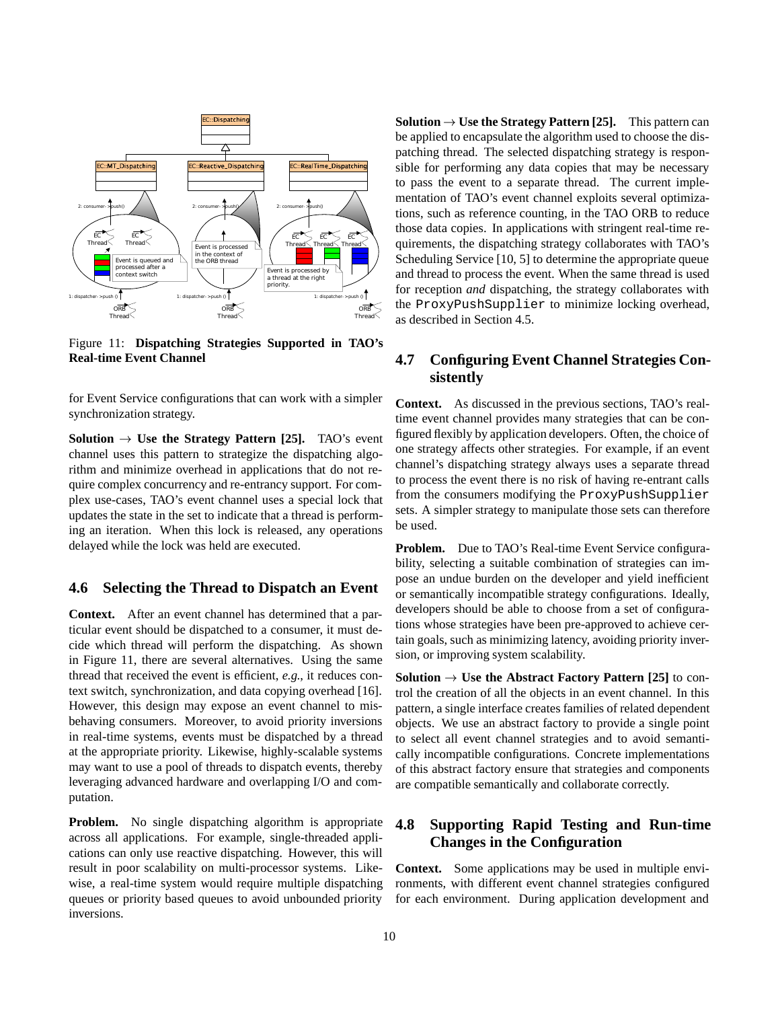

Figure 11: **Dispatching Strategies Supported in TAO's Real-time Event Channel**

for Event Service configurations that can work with a simpler synchronization strategy.

**Solution**  $\rightarrow$  Use the Strategy Pattern [25]. TAO's event channel uses this pattern to strategize the dispatching algorithm and minimize overhead in applications that do not require complex concurrency and re-entrancy support. For complex use-cases, TAO's event channel uses a special lock that updates the state in the set to indicate that a thread is performing an iteration. When this lock is released, any operations delayed while the lock was held are executed.

#### **4.6 Selecting the Thread to Dispatch an Event**

**Context.** After an event channel has determined that a particular event should be dispatched to a consumer, it must decide which thread will perform the dispatching. As shown in Figure 11, there are several alternatives. Using the same thread that received the event is efficient, *e.g.*, it reduces context switch, synchronization, and data copying overhead [16]. However, this design may expose an event channel to misbehaving consumers. Moreover, to avoid priority inversions in real-time systems, events must be dispatched by a thread at the appropriate priority. Likewise, highly-scalable systems may want to use a pool of threads to dispatch events, thereby leveraging advanced hardware and overlapping I/O and computation.

**Problem.** No single dispatching algorithm is appropriate across all applications. For example, single-threaded applications can only use reactive dispatching. However, this will result in poor scalability on multi-processor systems. Likewise, a real-time system would require multiple dispatching queues or priority based queues to avoid unbounded priority inversions.

**Solution**  $\rightarrow$  Use the Strategy Pattern [25]. This pattern can be applied to encapsulate the algorithm used to choose the dispatching thread. The selected dispatching strategy is responsible for performing any data copies that may be necessary to pass the event to a separate thread. The current implementation of TAO's event channel exploits several optimizations, such as reference counting, in the TAO ORB to reduce those data copies. In applications with stringent real-time requirements, the dispatching strategy collaborates with TAO's Scheduling Service [10, 5] to determine the appropriate queue and thread to process the event. When the same thread is used for reception *and* dispatching, the strategy collaborates with the ProxyPushSupplier to minimize locking overhead, as described in Section 4.5.

#### **4.7 Configuring Event Channel Strategies Consistently**

**Context.** As discussed in the previous sections, TAO's realtime event channel provides many strategies that can be configured flexibly by application developers. Often, the choice of one strategy affects other strategies. For example, if an event channel's dispatching strategy always uses a separate thread to process the event there is no risk of having re-entrant calls from the consumers modifying the ProxyPushSupplier sets. A simpler strategy to manipulate those sets can therefore be used.

**Problem.** Due to TAO's Real-time Event Service configurability, selecting a suitable combination of strategies can impose an undue burden on the developer and yield inefficient or semantically incompatible strategy configurations. Ideally, developers should be able to choose from a set of configurations whose strategies have been pre-approved to achieve certain goals, such as minimizing latency, avoiding priority inversion, or improving system scalability.

**Solution**  $\rightarrow$  Use the Abstract Factory Pattern [25] to control the creation of all the objects in an event channel. In this pattern, a single interface creates families of related dependent objects. We use an abstract factory to provide a single point to select all event channel strategies and to avoid semantically incompatible configurations. Concrete implementations of this abstract factory ensure that strategies and components are compatible semantically and collaborate correctly.

#### **4.8 Supporting Rapid Testing and Run-time Changes in the Configuration**

**Context.** Some applications may be used in multiple environments, with different event channel strategies configured for each environment. During application development and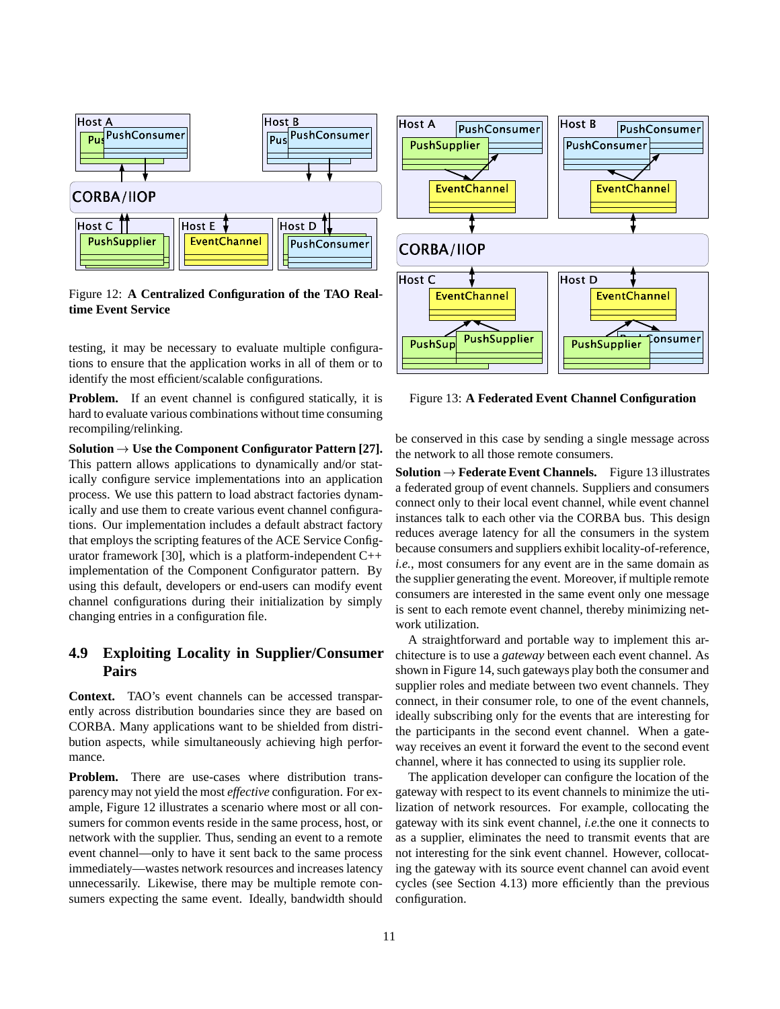

Figure 12: **A Centralized Configuration of the TAO Realtime Event Service**

testing, it may be necessary to evaluate multiple configurations to ensure that the application works in all of them or to identify the most efficient/scalable configurations.

**Problem.** If an event channel is configured statically, it is hard to evaluate various combinations without time consuming recompiling/relinking.

**Solution**  $\rightarrow$  Use the Component Configurator Pattern [27]. This pattern allows applications to dynamically and/or statically configure service implementations into an application process. We use this pattern to load abstract factories dynamically and use them to create various event channel configurations. Our implementation includes a default abstract factory that employs the scripting features of the ACE Service Configurator framework [30], which is a platform-independent  $C++$ implementation of the Component Configurator pattern. By using this default, developers or end-users can modify event channel configurations during their initialization by simply changing entries in a configuration file.

#### **4.9 Exploiting Locality in Supplier/Consumer Pairs**

**Context.** TAO's event channels can be accessed transparently across distribution boundaries since they are based on CORBA. Many applications want to be shielded from distribution aspects, while simultaneously achieving high performance.

**Problem.** There are use-cases where distribution transparency may not yield the most *effective* configuration. For example, Figure 12 illustrates a scenario where most or all consumers for common events reside in the same process, host, or network with the supplier. Thus, sending an event to a remote event channel—only to have it sent back to the same process immediately—wastes network resources and increases latency unnecessarily. Likewise, there may be multiple remote consumers expecting the same event. Ideally, bandwidth should



Figure 13: **A Federated Event Channel Configuration**

be conserved in this case by sending a single message across the network to all those remote consumers.

**Solution**  $\rightarrow$  **Federate Event Channels.** Figure 13 illustrates a federated group of event channels. Suppliers and consumers connect only to their local event channel, while event channel instances talk to each other via the CORBA bus. This design reduces average latency for all the consumers in the system because consumers and suppliers exhibit locality-of-reference, *i.e.*, most consumers for any event are in the same domain as the supplier generating the event. Moreover, if multiple remote consumers are interested in the same event only one message is sent to each remote event channel, thereby minimizing network utilization.

A straightforward and portable way to implement this architecture is to use a *gateway* between each event channel. As shown in Figure 14, such gateways play both the consumer and supplier roles and mediate between two event channels. They connect, in their consumer role, to one of the event channels, ideally subscribing only for the events that are interesting for the participants in the second event channel. When a gateway receives an event it forward the event to the second event channel, where it has connected to using its supplier role.

The application developer can configure the location of the gateway with respect to its event channels to minimize the utilization of network resources. For example, collocating the gateway with its sink event channel, *i.e.*the one it connects to as a supplier, eliminates the need to transmit events that are not interesting for the sink event channel. However, collocating the gateway with its source event channel can avoid event cycles (see Section 4.13) more efficiently than the previous configuration.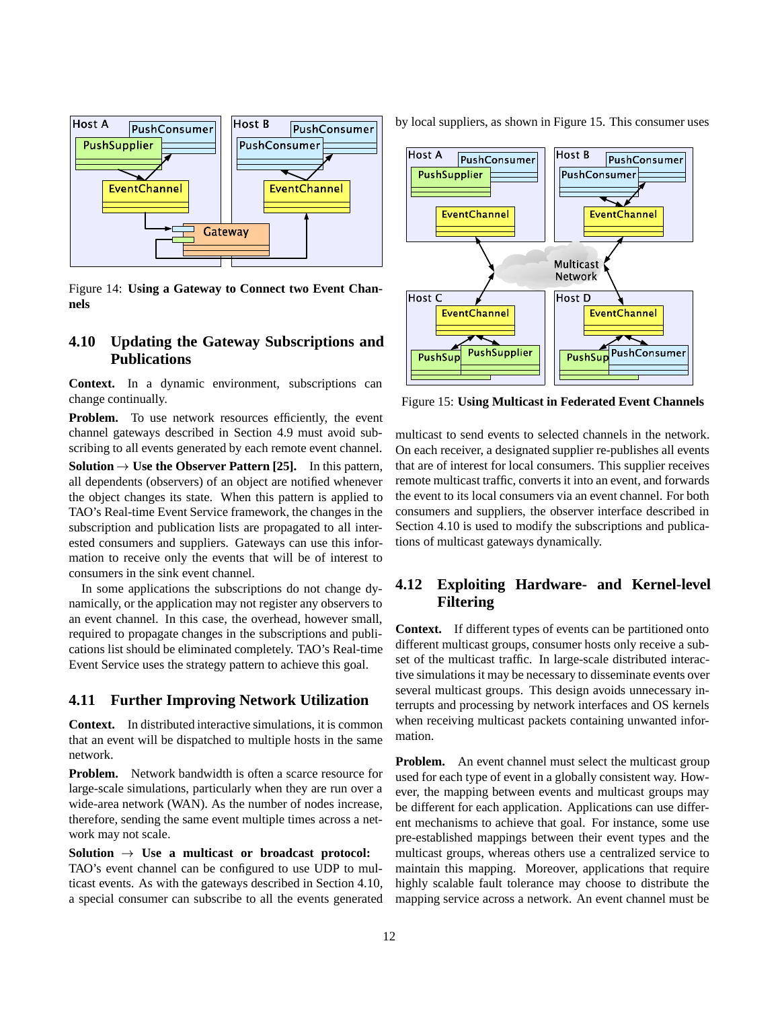

Figure 14: **Using a Gateway to Connect two Event Channels**

#### **4.10 Updating the Gateway Subscriptions and Publications**

**Context.** In a dynamic environment, subscriptions can change continually.

**Problem.** To use network resources efficiently, the event channel gateways described in Section 4.9 must avoid subscribing to all events generated by each remote event channel.

**Solution**  $\rightarrow$  Use the Observer Pattern [25]. In this pattern, all dependents (observers) of an object are notified whenever the object changes its state. When this pattern is applied to TAO's Real-time Event Service framework, the changes in the subscription and publication lists are propagated to all interested consumers and suppliers. Gateways can use this information to receive only the events that will be of interest to consumers in the sink event channel.

In some applications the subscriptions do not change dynamically, or the application may not register any observers to an event channel. In this case, the overhead, however small, required to propagate changes in the subscriptions and publications list should be eliminated completely. TAO's Real-time Event Service uses the strategy pattern to achieve this goal.

#### **4.11 Further Improving Network Utilization**

**Context.** In distributed interactive simulations, it is common that an event will be dispatched to multiple hosts in the same network.

**Problem.** Network bandwidth is often a scarce resource for large-scale simulations, particularly when they are run over a wide-area network (WAN). As the number of nodes increase, therefore, sending the same event multiple times across a network may not scale.

**Solution**  $\rightarrow$  Use a multicast or broadcast protocol: TAO's event channel can be configured to use UDP to multicast events. As with the gateways described in Section 4.10, a special consumer can subscribe to all the events generated by local suppliers, as shown in Figure 15. This consumer uses



Figure 15: **Using Multicast in Federated Event Channels**

multicast to send events to selected channels in the network. On each receiver, a designated supplier re-publishes all events that are of interest for local consumers. This supplier receives remote multicast traffic, converts it into an event, and forwards the event to its local consumers via an event channel. For both consumers and suppliers, the observer interface described in Section 4.10 is used to modify the subscriptions and publications of multicast gateways dynamically.

#### **4.12 Exploiting Hardware- and Kernel-level Filtering**

**Context.** If different types of events can be partitioned onto different multicast groups, consumer hosts only receive a subset of the multicast traffic. In large-scale distributed interactive simulations it may be necessary to disseminate events over several multicast groups. This design avoids unnecessary interrupts and processing by network interfaces and OS kernels when receiving multicast packets containing unwanted information.

**Problem.** An event channel must select the multicast group used for each type of event in a globally consistent way. However, the mapping between events and multicast groups may be different for each application. Applications can use different mechanisms to achieve that goal. For instance, some use pre-established mappings between their event types and the multicast groups, whereas others use a centralized service to maintain this mapping. Moreover, applications that require highly scalable fault tolerance may choose to distribute the mapping service across a network. An event channel must be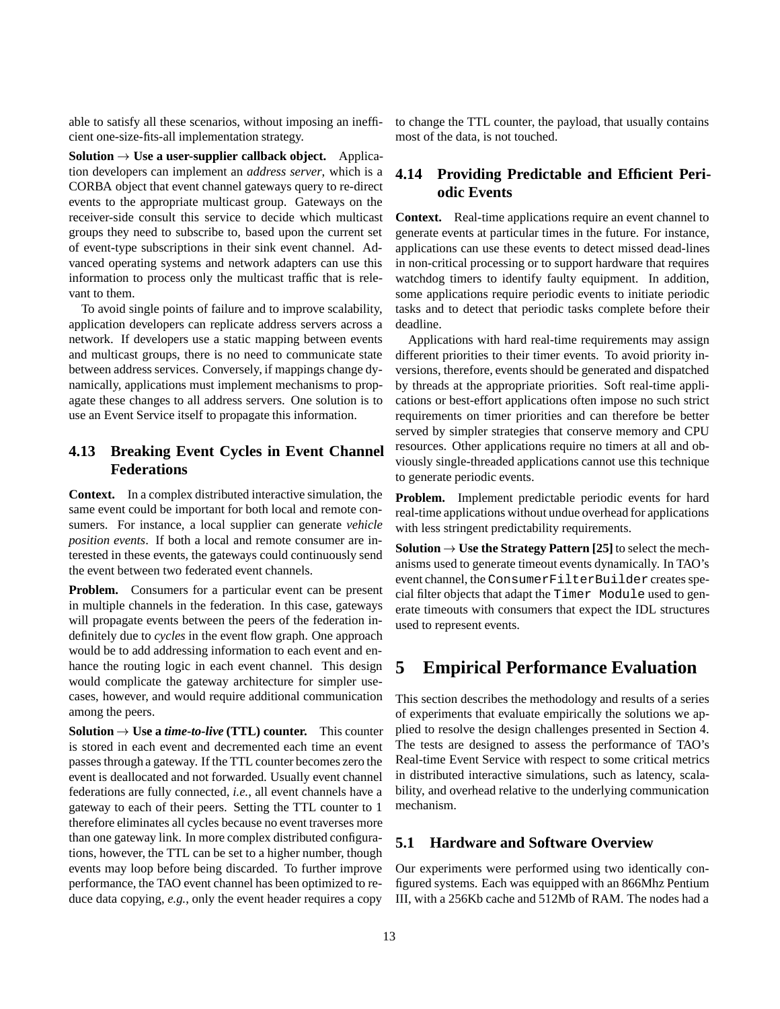able to satisfy all these scenarios, without imposing an inefficient one-size-fits-all implementation strategy.

**Solution**  $\rightarrow$  Use a user-supplier callback object. Application developers can implement an *address server*, which is a CORBA object that event channel gateways query to re-direct events to the appropriate multicast group. Gateways on the receiver-side consult this service to decide which multicast groups they need to subscribe to, based upon the current set of event-type subscriptions in their sink event channel. Advanced operating systems and network adapters can use this information to process only the multicast traffic that is relevant to them.

To avoid single points of failure and to improve scalability, application developers can replicate address servers across a network. If developers use a static mapping between events and multicast groups, there is no need to communicate state between address services. Conversely, if mappings change dynamically, applications must implement mechanisms to propagate these changes to all address servers. One solution is to use an Event Service itself to propagate this information.

#### **4.13 Breaking Event Cycles in Event Channel Federations**

**Context.** In a complex distributed interactive simulation, the same event could be important for both local and remote consumers. For instance, a local supplier can generate *vehicle position events*. If both a local and remote consumer are interested in these events, the gateways could continuously send the event between two federated event channels.

**Problem.** Consumers for a particular event can be present in multiple channels in the federation. In this case, gateways will propagate events between the peers of the federation indefinitely due to *cycles* in the event flow graph. One approach would be to add addressing information to each event and enhance the routing logic in each event channel. This design would complicate the gateway architecture for simpler usecases, however, and would require additional communication among the peers.

**Solution**  $\rightarrow$  Use a *time-to-live* (TTL) counter. This counter is stored in each event and decremented each time an event passes through a gateway. If the TTL counter becomes zero the event is deallocated and not forwarded. Usually event channel federations are fully connected, *i.e.*, all event channels have a gateway to each of their peers. Setting the TTL counter to 1 therefore eliminates all cycles because no event traverses more than one gateway link. In more complex distributed configurations, however, the TTL can be set to a higher number, though events may loop before being discarded. To further improve performance, the TAO event channel has been optimized to reduce data copying, *e.g.*, only the event header requires a copy

to change the TTL counter, the payload, that usually contains most of the data, is not touched.

#### **4.14 Providing Predictable and Efficient Periodic Events**

**Context.** Real-time applications require an event channel to generate events at particular times in the future. For instance, applications can use these events to detect missed dead-lines in non-critical processing or to support hardware that requires watchdog timers to identify faulty equipment. In addition, some applications require periodic events to initiate periodic tasks and to detect that periodic tasks complete before their deadline.

Applications with hard real-time requirements may assign different priorities to their timer events. To avoid priority inversions, therefore, events should be generated and dispatched by threads at the appropriate priorities. Soft real-time applications or best-effort applications often impose no such strict requirements on timer priorities and can therefore be better served by simpler strategies that conserve memory and CPU resources. Other applications require no timers at all and obviously single-threaded applications cannot use this technique to generate periodic events.

**Problem.** Implement predictable periodic events for hard real-time applications without undue overhead for applications with less stringent predictability requirements.

**Solution**  $\rightarrow$  Use the Strategy Pattern [25] to select the mechanisms used to generate timeout events dynamically. In TAO's event channel, the ConsumerFilterBuilder creates special filter objects that adapt the Timer Module used to generate timeouts with consumers that expect the IDL structures used to represent events.

## **5 Empirical Performance Evaluation**

This section describes the methodology and results of a series of experiments that evaluate empirically the solutions we applied to resolve the design challenges presented in Section 4. The tests are designed to assess the performance of TAO's Real-time Event Service with respect to some critical metrics in distributed interactive simulations, such as latency, scalability, and overhead relative to the underlying communication mechanism.

#### **5.1 Hardware and Software Overview**

Our experiments were performed using two identically configured systems. Each was equipped with an 866Mhz Pentium III, with a 256Kb cache and 512Mb of RAM. The nodes had a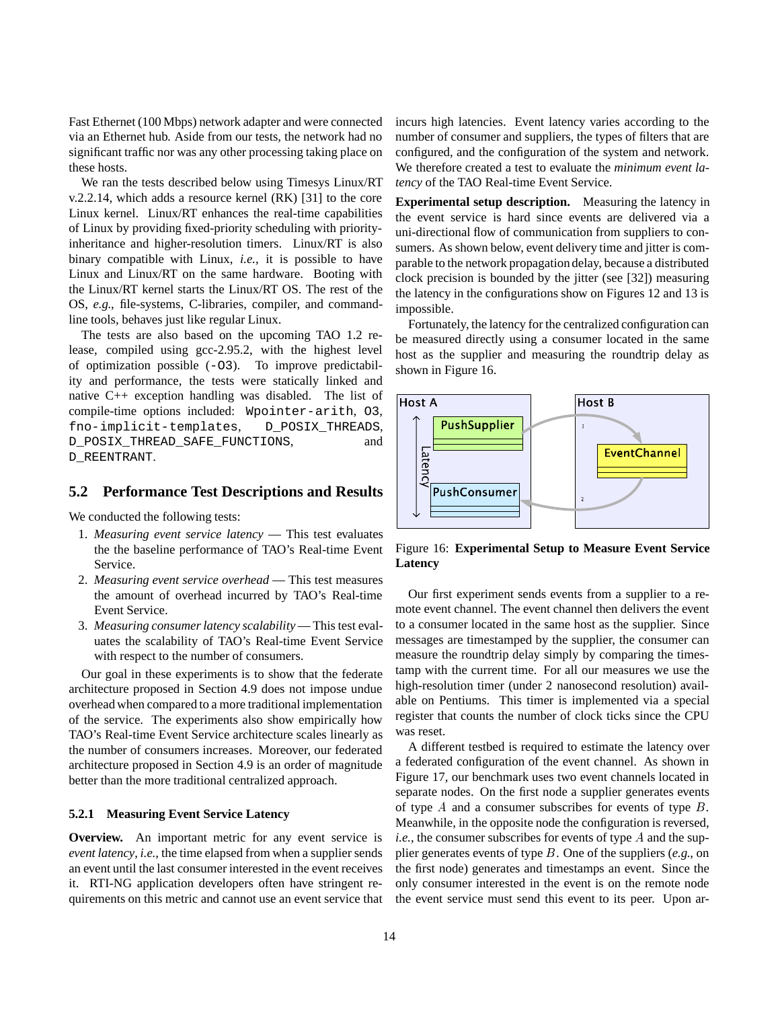Fast Ethernet (100 Mbps) network adapter and were connected via an Ethernet hub. Aside from our tests, the network had no significant traffic nor was any other processing taking place on these hosts.

We ran the tests described below using Timesys Linux/RT v.2.2.14, which adds a resource kernel (RK) [31] to the core Linux kernel. Linux/RT enhances the real-time capabilities of Linux by providing fixed-priority scheduling with priorityinheritance and higher-resolution timers. Linux/RT is also binary compatible with Linux, *i.e.*, it is possible to have Linux and Linux/RT on the same hardware. Booting with the Linux/RT kernel starts the Linux/RT OS. The rest of the OS, *e.g.*, file-systems, C-libraries, compiler, and commandline tools, behaves just like regular Linux.

The tests are also based on the upcoming TAO 1.2 release, compiled using gcc-2.95.2, with the highest level of optimization possible (-O3). To improve predictability and performance, the tests were statically linked and native C++ exception handling was disabled. The list of compile-time options included: Wpointer-arith, O3, fno-implicit-templates, D\_POSIX\_THREADS, D\_POSIX\_THREAD\_SAFE\_FUNCTIONS, and D\_REENTRANT.

#### **5.2 Performance Test Descriptions and Results**

We conducted the following tests:

- 1. *Measuring event service latency* This test evaluates the the baseline performance of TAO's Real-time Event Service.
- 2. *Measuring event service overhead* This test measures the amount of overhead incurred by TAO's Real-time Event Service.
- 3. *Measuring consumer latency scalability* This test evaluates the scalability of TAO's Real-time Event Service with respect to the number of consumers.

Our goal in these experiments is to show that the federate architecture proposed in Section 4.9 does not impose undue overhead when compared to a more traditional implementation of the service. The experiments also show empirically how TAO's Real-time Event Service architecture scales linearly as the number of consumers increases. Moreover, our federated architecture proposed in Section 4.9 is an order of magnitude better than the more traditional centralized approach.

#### **5.2.1 Measuring Event Service Latency**

**Overview.** An important metric for any event service is *event latency*, *i.e.*, the time elapsed from when a supplier sends an event until the last consumer interested in the event receives it. RTI-NG application developers often have stringent requirements on this metric and cannot use an event service that incurs high latencies. Event latency varies according to the number of consumer and suppliers, the types of filters that are configured, and the configuration of the system and network. We therefore created a test to evaluate the *minimum event latency* of the TAO Real-time Event Service.

**Experimental setup description.** Measuring the latency in the event service is hard since events are delivered via a uni-directional flow of communication from suppliers to consumers. As shown below, event delivery time and jitter is comparable to the network propagation delay, because a distributed clock precision is bounded by the jitter (see [32]) measuring the latency in the configurations show on Figures 12 and 13 is impossible.

Fortunately, the latency for the centralized configuration can be measured directly using a consumer located in the same host as the supplier and measuring the roundtrip delay as shown in Figure 16.



Figure 16: **Experimental Setup to Measure Event Service Latency**

Our first experiment sends events from a supplier to a remote event channel. The event channel then delivers the event to a consumer located in the same host as the supplier. Since messages are timestamped by the supplier, the consumer can measure the roundtrip delay simply by comparing the timestamp with the current time. For all our measures we use the high-resolution timer (under 2 nanosecond resolution) available on Pentiums. This timer is implemented via a special register that counts the number of clock ticks since the CPU was reset.

A different testbed is required to estimate the latency over a federated configuration of the event channel. As shown in Figure 17, our benchmark uses two event channels located in separate nodes. On the first node a supplier generates events of type  $A$  and a consumer subscribes for events of type  $B$ . Meanwhile, in the opposite node the configuration is reversed, *i.e.*, the consumer subscribes for events of type A and the supplier generates events of type <sup>B</sup>. One of the suppliers (*e.g.*, on the first node) generates and timestamps an event. Since the only consumer interested in the event is on the remote node the event service must send this event to its peer. Upon ar-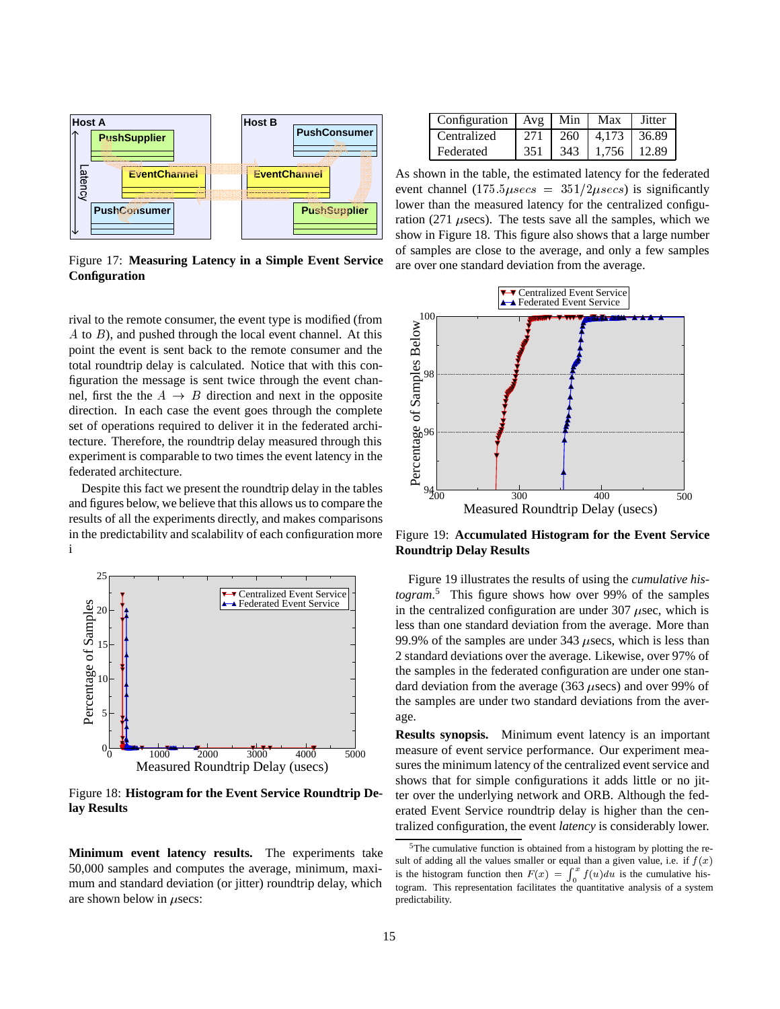

Figure 17: **Measuring Latency in a Simple Event Service Configuration**

rival to the remote consumer, the event type is modified (from  $A$  to  $B$ ), and pushed through the local event channel. At this point the event is sent back to the remote consumer and the total roundtrip delay is calculated. Notice that with this configuration the message is sent twice through the event channel, first the the  $A \rightarrow B$  direction and next in the opposite direction. In each case the event goes through the complete set of operations required to deliver it in the federated architecture. Therefore, the roundtrip delay measured through this experiment is comparable to two times the event latency in the federated architecture.

Despite this fact we present the roundtrip delay in the tables and figures below, we believe that this allows us to compare the results of all the experiments directly, and makes comparisons in the predictability and scalability of each configuration more intuitive.



Figure 18: **Histogram for the Event Service Roundtrip Delay Results**

**Minimum event latency results.** The experiments take 50,000 samples and computes the average, minimum, maximum and standard deviation (or jitter) roundtrip delay, which are shown below in  $\mu$ secs:

| Configuration   $Avg$   Min |     |     | Max                 | Jitter |
|-----------------------------|-----|-----|---------------------|--------|
| Centralized                 | 271 |     | 260   4.173   36.89 |        |
| Federated                   | 351 | 343 | $1.756$   12.89     |        |

As shown in the table, the estimated latency for the federated event channel  $(175.5\mu secs = 351/2\mu secs)$  is significantly lower than the measured latency for the centralized configuration (271  $\mu$ secs). The tests save all the samples, which we show in Figure 18. This figure also shows that a large number of samples are close to the average, and only a few samples are over one standard deviation from the average.



Figure 19: **Accumulated Histogram for the Event Service Roundtrip Delay Results**

Figure 19 illustrates the results of using the *cumulative histogram*. <sup>5</sup> This figure shows how over 99% of the samples in the centralized configuration are under  $307 \mu$ sec, which is less than one standard deviation from the average. More than 99.9% of the samples are under 343  $\mu$ secs, which is less than 2 standard deviations over the average. Likewise, over 97% of the samples in the federated configuration are under one standard deviation from the average (363  $\mu$ secs) and over 99% of the samples are under two standard deviations from the average.

**Results synopsis.** Minimum event latency is an important measure of event service performance. Our experiment measures the minimum latency of the centralized event service and shows that for simple configurations it adds little or no jitter over the underlying network and ORB. Although the federated Event Service roundtrip delay is higher than the centralized configuration, the event *latency* is considerably lower.

 $5$ The cumulative function is obtained from a histogram by plotting the result of adding all the values smaller or equal than a given value, i.e. if  $f(x)$ is the histogram function then  $F(x) = \int_0^x f(u) du$  is the cumulative histogram. This representation facilitates the quantitative analysis of a system predictability.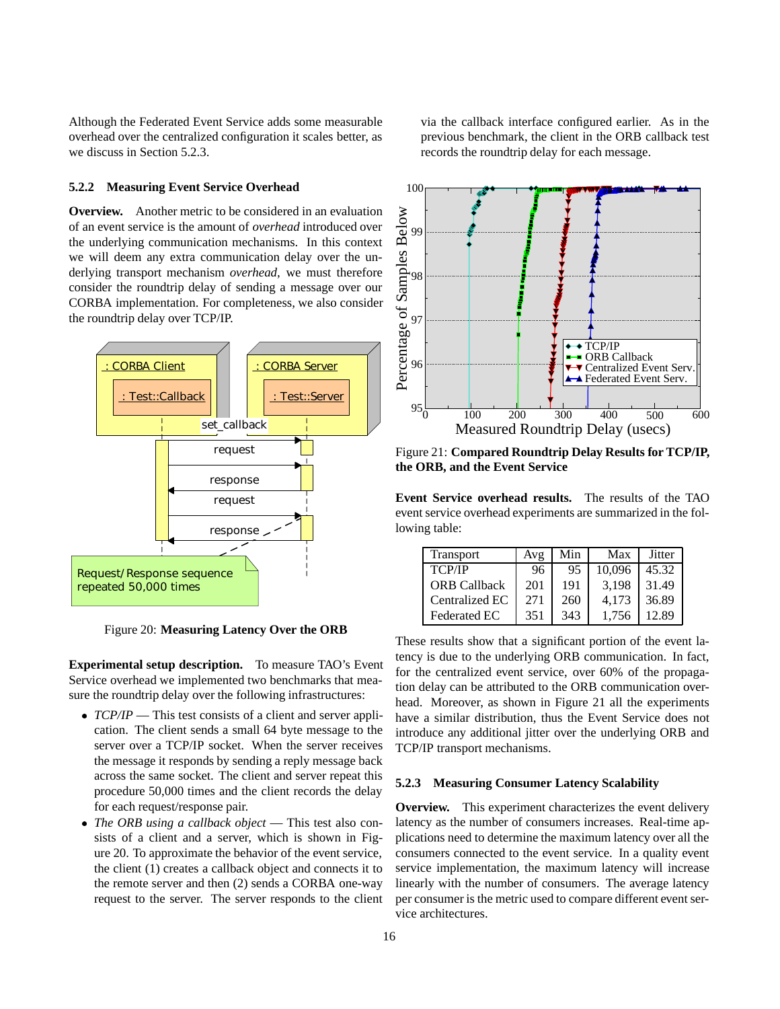Although the Federated Event Service adds some measurable overhead over the centralized configuration it scales better, as we discuss in Section 5.2.3.

#### **5.2.2 Measuring Event Service Overhead**

**Overview.** Another metric to be considered in an evaluation of an event service is the amount of *overhead* introduced over the underlying communication mechanisms. In this context we will deem any extra communication delay over the underlying transport mechanism *overhead*, we must therefore consider the roundtrip delay of sending a message over our CORBA implementation. For completeness, we also consider the roundtrip delay over TCP/IP.



Figure 20: **Measuring Latency Over the ORB**

**Experimental setup description.** To measure TAO's Event Service overhead we implemented two benchmarks that measure the roundtrip delay over the following infrastructures:

- *TCP/IP* This test consists of a client and server application. The client sends a small 64 byte message to the server over a TCP/IP socket. When the server receives the message it responds by sending a reply message back across the same socket. The client and server repeat this procedure 50,000 times and the client records the delay for each request/response pair.
- *The ORB using a callback object* This test also consists of a client and a server, which is shown in Figure 20. To approximate the behavior of the event service, the client (1) creates a callback object and connects it to the remote server and then (2) sends a CORBA one-way request to the server. The server responds to the client

via the callback interface configured earlier. As in the previous benchmark, the client in the ORB callback test records the roundtrip delay for each message.



Figure 21: **Compared Roundtrip Delay Results for TCP/IP, the ORB, and the Event Service**

**Event Service overhead results.** The results of the TAO event service overhead experiments are summarized in the following table:

| Transport           | Avg | Min | Max    | <b>Jitter</b> |
|---------------------|-----|-----|--------|---------------|
| <b>TCP/IP</b>       | 96  | 95  | 10.096 | 45.32         |
| <b>ORB</b> Callback | 201 | 191 | 3.198  | 31.49         |
| Centralized EC      | 271 | 260 | 4.173  | 36.89         |
| Federated EC        | 351 | 343 | 1.756  | 12.89         |

These results show that a significant portion of the event latency is due to the underlying ORB communication. In fact, for the centralized event service, over 60% of the propagation delay can be attributed to the ORB communication overhead. Moreover, as shown in Figure 21 all the experiments have a similar distribution, thus the Event Service does not introduce any additional jitter over the underlying ORB and TCP/IP transport mechanisms.

#### **5.2.3 Measuring Consumer Latency Scalability**

**Overview.** This experiment characterizes the event delivery latency as the number of consumers increases. Real-time applications need to determine the maximum latency over all the consumers connected to the event service. In a quality event service implementation, the maximum latency will increase linearly with the number of consumers. The average latency per consumer is the metric used to compare different event service architectures.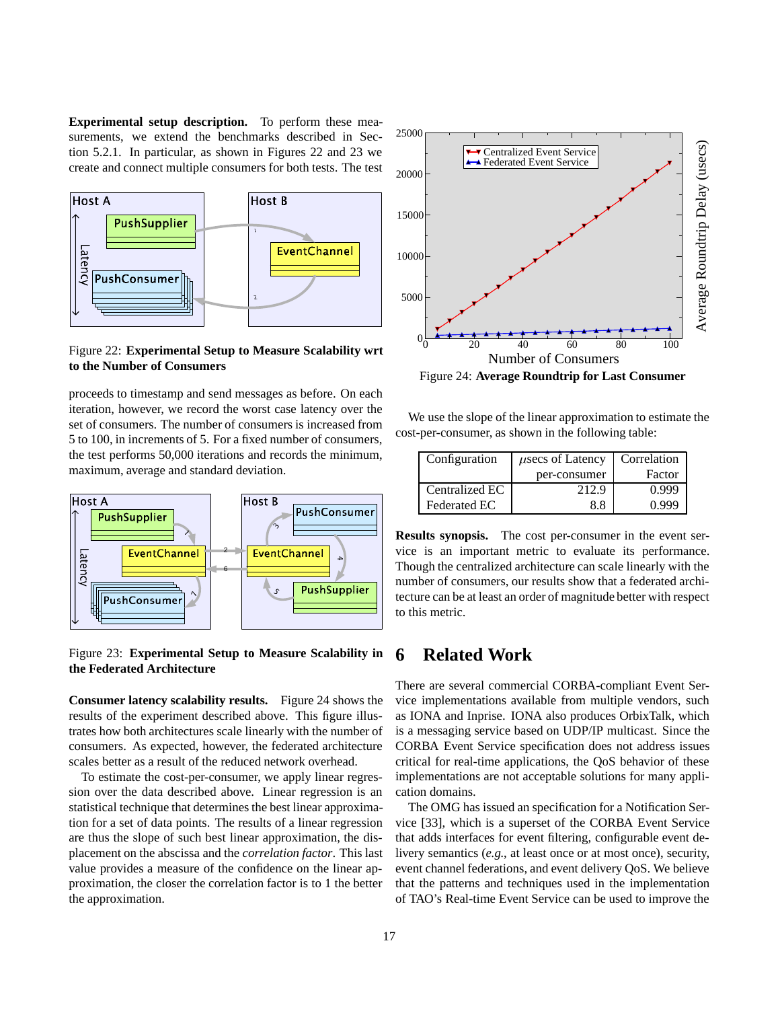**Experimental setup description.** To perform these measurements, we extend the benchmarks described in Section 5.2.1. In particular, as shown in Figures 22 and 23 we create and connect multiple consumers for both tests. The test



Figure 22: **Experimental Setup to Measure Scalability wrt to the Number of Consumers**

proceeds to timestamp and send messages as before. On each iteration, however, we record the worst case latency over the set of consumers. The number of consumers is increased from 5 to 100, in increments of 5. For a fixed number of consumers, the test performs 50,000 iterations and records the minimum, maximum, average and standard deviation.



Figure 23: **Experimental Setup to Measure Scalability in the Federated Architecture**

**Consumer latency scalability results.** Figure 24 shows the results of the experiment described above. This figure illustrates how both architectures scale linearly with the number of consumers. As expected, however, the federated architecture scales better as a result of the reduced network overhead.

To estimate the cost-per-consumer, we apply linear regression over the data described above. Linear regression is an statistical technique that determines the best linear approximation for a set of data points. The results of a linear regression are thus the slope of such best linear approximation, the displacement on the abscissa and the *correlation factor*. This last value provides a measure of the confidence on the linear approximation, the closer the correlation factor is to 1 the better the approximation.



Figure 24: **Average Roundtrip for Last Consumer**

We use the slope of the linear approximation to estimate the cost-per-consumer, as shown in the following table:

| Configuration       | $\mu$ secs of Latency | Correlation |  |
|---------------------|-----------------------|-------------|--|
|                     | per-consumer          | Factor      |  |
| Centralized EC      | 212.9                 | 0.999       |  |
| <b>Federated EC</b> | 88                    | 0 99G       |  |

**Results synopsis.** The cost per-consumer in the event service is an important metric to evaluate its performance. Though the centralized architecture can scale linearly with the number of consumers, our results show that a federated architecture can be at least an order of magnitude better with respect to this metric.

## **6 Related Work**

There are several commercial CORBA-compliant Event Service implementations available from multiple vendors, such as IONA and Inprise. IONA also produces OrbixTalk, which is a messaging service based on UDP/IP multicast. Since the CORBA Event Service specification does not address issues critical for real-time applications, the QoS behavior of these implementations are not acceptable solutions for many application domains.

The OMG has issued an specification for a Notification Service [33], which is a superset of the CORBA Event Service that adds interfaces for event filtering, configurable event delivery semantics (*e.g.*, at least once or at most once), security, event channel federations, and event delivery QoS. We believe that the patterns and techniques used in the implementation of TAO's Real-time Event Service can be used to improve the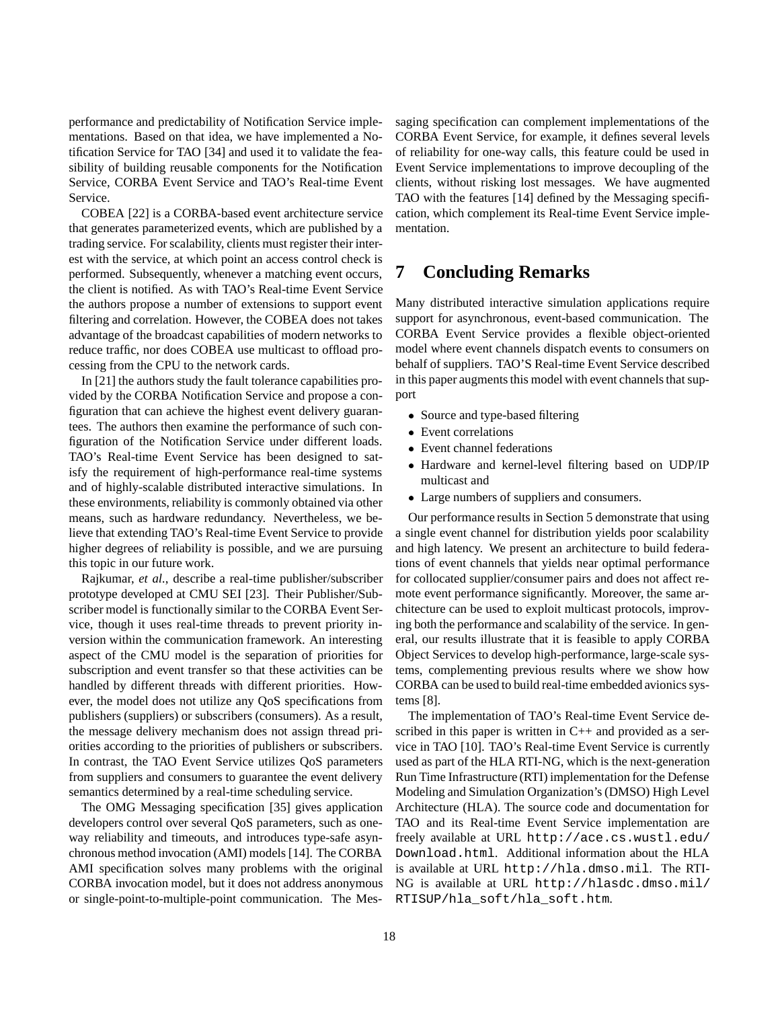performance and predictability of Notification Service implementations. Based on that idea, we have implemented a Notification Service for TAO [34] and used it to validate the feasibility of building reusable components for the Notification Service, CORBA Event Service and TAO's Real-time Event Service.

COBEA [22] is a CORBA-based event architecture service that generates parameterized events, which are published by a trading service. For scalability, clients must register their interest with the service, at which point an access control check is performed. Subsequently, whenever a matching event occurs, the client is notified. As with TAO's Real-time Event Service the authors propose a number of extensions to support event filtering and correlation. However, the COBEA does not takes advantage of the broadcast capabilities of modern networks to reduce traffic, nor does COBEA use multicast to offload processing from the CPU to the network cards.

In [21] the authors study the fault tolerance capabilities provided by the CORBA Notification Service and propose a configuration that can achieve the highest event delivery guarantees. The authors then examine the performance of such configuration of the Notification Service under different loads. TAO's Real-time Event Service has been designed to satisfy the requirement of high-performance real-time systems and of highly-scalable distributed interactive simulations. In these environments, reliability is commonly obtained via other means, such as hardware redundancy. Nevertheless, we believe that extending TAO's Real-time Event Service to provide higher degrees of reliability is possible, and we are pursuing this topic in our future work.

Rajkumar, *et al.*, describe a real-time publisher/subscriber prototype developed at CMU SEI [23]. Their Publisher/Subscriber model is functionally similar to the CORBA Event Service, though it uses real-time threads to prevent priority inversion within the communication framework. An interesting aspect of the CMU model is the separation of priorities for subscription and event transfer so that these activities can be handled by different threads with different priorities. However, the model does not utilize any QoS specifications from publishers (suppliers) or subscribers (consumers). As a result, the message delivery mechanism does not assign thread priorities according to the priorities of publishers or subscribers. In contrast, the TAO Event Service utilizes QoS parameters from suppliers and consumers to guarantee the event delivery semantics determined by a real-time scheduling service.

The OMG Messaging specification [35] gives application developers control over several QoS parameters, such as oneway reliability and timeouts, and introduces type-safe asynchronous method invocation (AMI) models [14]. The CORBA AMI specification solves many problems with the original CORBA invocation model, but it does not address anonymous or single-point-to-multiple-point communication. The Messaging specification can complement implementations of the CORBA Event Service, for example, it defines several levels of reliability for one-way calls, this feature could be used in Event Service implementations to improve decoupling of the clients, without risking lost messages. We have augmented TAO with the features [14] defined by the Messaging specification, which complement its Real-time Event Service implementation.

## **7 Concluding Remarks**

Many distributed interactive simulation applications require support for asynchronous, event-based communication. The CORBA Event Service provides a flexible object-oriented model where event channels dispatch events to consumers on behalf of suppliers. TAO'S Real-time Event Service described in this paper augments this model with event channels that support

- Source and type-based filtering
- Event correlations
- Event channel federations
- Hardware and kernel-level filtering based on UDP/IP multicast and
- Large numbers of suppliers and consumers.

Our performance results in Section 5 demonstrate that using a single event channel for distribution yields poor scalability and high latency. We present an architecture to build federations of event channels that yields near optimal performance for collocated supplier/consumer pairs and does not affect remote event performance significantly. Moreover, the same architecture can be used to exploit multicast protocols, improving both the performance and scalability of the service. In general, our results illustrate that it is feasible to apply CORBA Object Services to develop high-performance, large-scale systems, complementing previous results where we show how CORBA can be used to build real-time embedded avionics systems [8].

The implementation of TAO's Real-time Event Service described in this paper is written in C++ and provided as a service in TAO [10]. TAO's Real-time Event Service is currently used as part of the HLA RTI-NG, which is the next-generation Run Time Infrastructure (RTI) implementation for the Defense Modeling and Simulation Organization's (DMSO) High Level Architecture (HLA). The source code and documentation for TAO and its Real-time Event Service implementation are freely available at URL http://ace.cs.wustl.edu/ Download.html. Additional information about the HLA is available at URL http://hla.dmso.mil. The RTI-NG is available at URL http://hlasdc.dmso.mil/ RTISUP/hla\_soft/hla\_soft.htm.